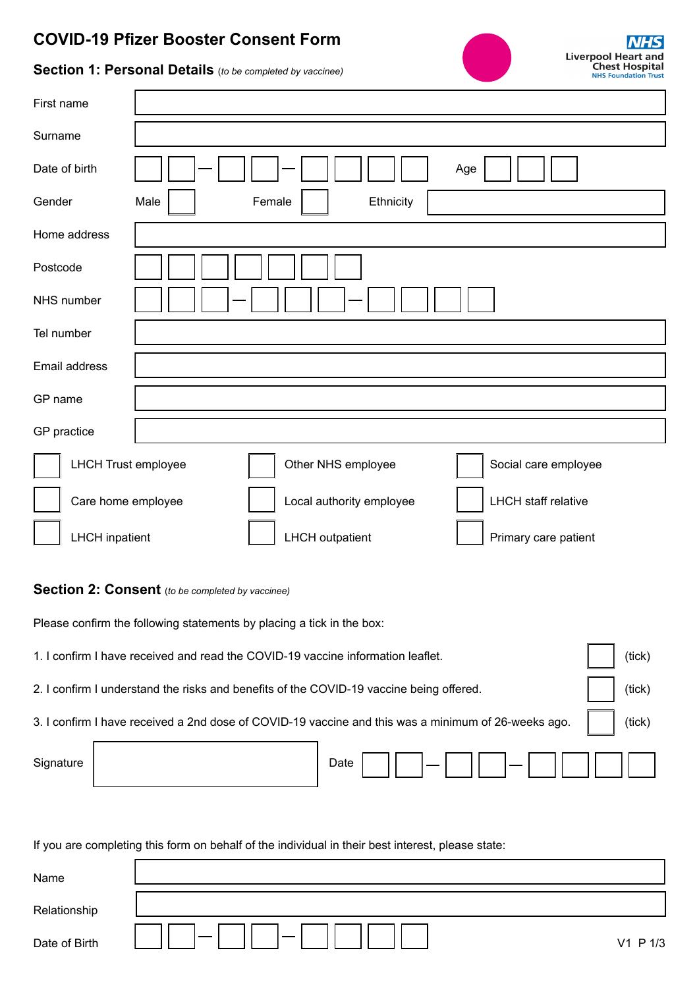## **COVID-19 Pfizer Booster Consent Form**



## **Section 1: Personal Details** (*to be completed by vaccinee)*

| First name                 |                                                        |
|----------------------------|--------------------------------------------------------|
| Surname                    |                                                        |
| Date of birth              | Age                                                    |
| Gender                     | Ethnicity<br>Male<br>Female                            |
| Home address               |                                                        |
| Postcode                   |                                                        |
| NHS number                 |                                                        |
| Tel number                 |                                                        |
| Email address              |                                                        |
| GP name                    |                                                        |
| GP practice                |                                                        |
| <b>LHCH Trust employee</b> | Other NHS employee<br>Social care employee             |
| Care home employee         | <b>LHCH</b> staff relative<br>Local authority employee |
| <b>LHCH</b> inpatient      | <b>LHCH</b> outpatient<br>Primary care patient         |

## **Section 2: Consent** (*to be completed by vaccinee)*

Please confirm the following statements by placing a tick in the box:

| 1. I confirm I have received and read the COVID-19 vaccine information leaflet.                     |  |  |        |
|-----------------------------------------------------------------------------------------------------|--|--|--------|
| 2. I confirm I understand the risks and benefits of the COVID-19 vaccine being offered.             |  |  |        |
| 3. I confirm I have received a 2nd dose of COVID-19 vaccine and this was a minimum of 26-weeks ago. |  |  | (tick) |
| Signature                                                                                           |  |  |        |

If you are completing this form on behalf of the individual in their best interest, please state:

| Name          |          |
|---------------|----------|
| Relationship  |          |
| Date of Birth | V1 P 1/3 |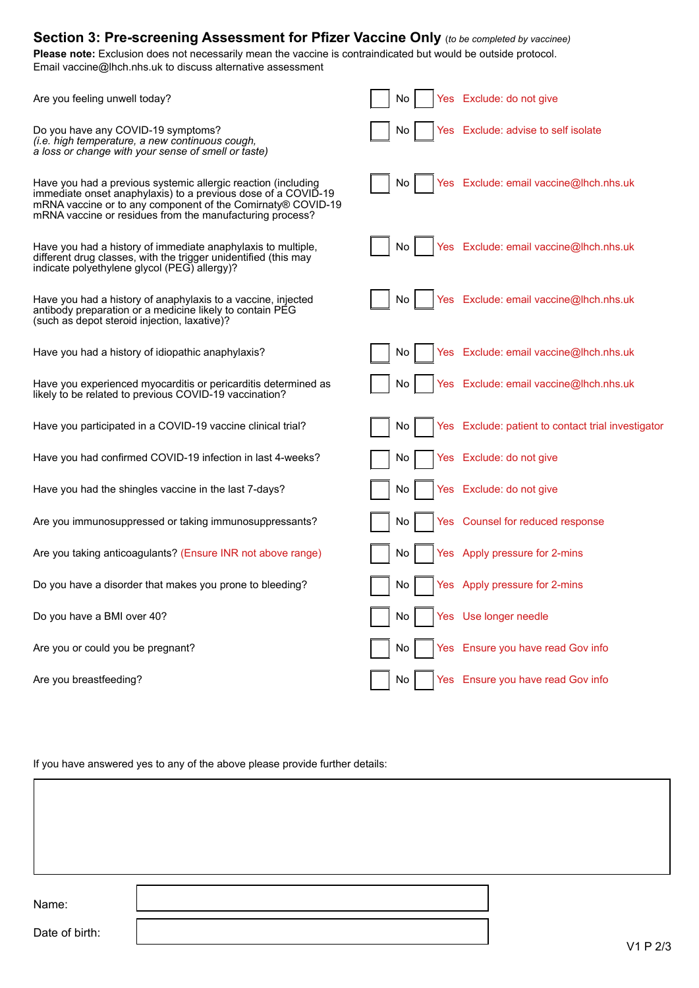| Section 3: Pre-screening Assessment for Pfizer Vaccine Only (to be completed by vaccinee)<br>Please note: Exclusion does not necessarily mean the vaccine is contraindicated but would be outside protocol.<br>Email vaccine@lhch.nhs.uk to discuss alternative assessment |           |                                                    |  |  |  |  |
|----------------------------------------------------------------------------------------------------------------------------------------------------------------------------------------------------------------------------------------------------------------------------|-----------|----------------------------------------------------|--|--|--|--|
| Are you feeling unwell today?                                                                                                                                                                                                                                              | No.       | Yes Exclude: do not give                           |  |  |  |  |
| Do you have any COVID-19 symptoms?<br>(i.e. high temperature, a new continuous cough,<br>a loss or change with your sense of smell or taste)                                                                                                                               | No.       | Yes Exclude: advise to self isolate                |  |  |  |  |
| Have you had a previous systemic allergic reaction (including<br>immediate onset anaphylaxis) to a previous dose of a COVID-19<br>mRNA vaccine or to any component of the Comirnaty® COVID-19<br>mRNA vaccine or residues from the manufacturing process?                  | No.       | Yes Exclude: email vaccine@lhch.nhs.uk             |  |  |  |  |
| Have you had a history of immediate anaphylaxis to multiple,<br>different drug classes, with the trigger unidentified (this may<br>indicate polyethylene glycol (PEG) allergy)?                                                                                            | No.       | Yes Exclude: email vaccine@lhch.nhs.uk             |  |  |  |  |
| Have you had a history of anaphylaxis to a vaccine, injected<br>antibody preparation or a medicine likely to contain PEG<br>(such as depot steroid injection, laxative)?                                                                                                   | No.       | Yes Exclude: email vaccine@lhch.nhs.uk             |  |  |  |  |
| Have you had a history of idiopathic anaphylaxis?                                                                                                                                                                                                                          | No.       | Yes Exclude: email vaccine@lhch.nhs.uk             |  |  |  |  |
| Have you experienced myocarditis or pericarditis determined as<br>likely to be related to previous COVID-19 vaccination?                                                                                                                                                   | No        | Yes Exclude: email vaccine@lhch.nhs.uk             |  |  |  |  |
| Have you participated in a COVID-19 vaccine clinical trial?                                                                                                                                                                                                                | No.       | Yes Exclude: patient to contact trial investigator |  |  |  |  |
| Have you had confirmed COVID-19 infection in last 4-weeks?                                                                                                                                                                                                                 | No        | Yes Exclude: do not give                           |  |  |  |  |
| Have you had the shingles vaccine in the last 7-days?                                                                                                                                                                                                                      | No.       | Yes Exclude: do not give                           |  |  |  |  |
| Are you immunosuppressed or taking immunosuppressants?                                                                                                                                                                                                                     | No<br>Yes | Counsel for reduced response                       |  |  |  |  |
| Are you taking anticoagulants? (Ensure INR not above range)                                                                                                                                                                                                                | No        | Yes Apply pressure for 2-mins                      |  |  |  |  |
| Do you have a disorder that makes you prone to bleeding?                                                                                                                                                                                                                   | No        | Yes Apply pressure for 2-mins                      |  |  |  |  |
| Do you have a BMI over 40?                                                                                                                                                                                                                                                 | No        | Yes Use longer needle                              |  |  |  |  |
| Are you or could you be pregnant?                                                                                                                                                                                                                                          | No        | Yes Ensure you have read Gov info                  |  |  |  |  |
| Are you breastfeeding?                                                                                                                                                                                                                                                     | No        | Yes Ensure you have read Gov info                  |  |  |  |  |

If you have answered yes to any of the above please provide further details:

Name:

Date of birth: